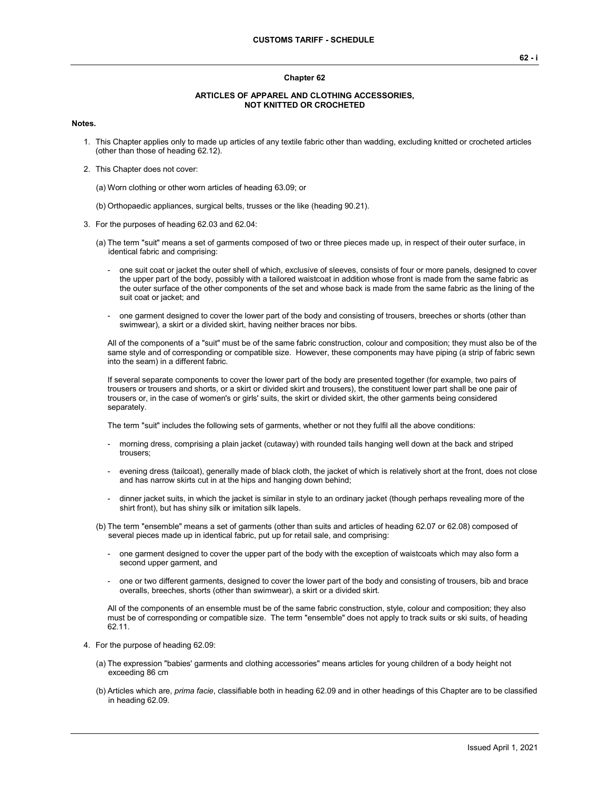#### **Chapter 62**

#### **ARTICLES OF APPAREL AND CLOTHING ACCESSORIES, NOT KNITTED OR CROCHETED**

#### **Notes.**

- 1. This Chapter applies only to made up articles of any textile fabric other than wadding, excluding knitted or crocheted articles (other than those of heading 62.12).
- 2. This Chapter does not cover:

(a) Worn clothing or other worn articles of heading 63.09; or

- (b) Orthopaedic appliances, surgical belts, trusses or the like (heading 90.21).
- 3. For the purposes of heading 62.03 and 62.04:
	- (a) The term "suit" means a set of garments composed of two or three pieces made up, in respect of their outer surface, in identical fabric and comprising:
		- one suit coat or jacket the outer shell of which, exclusive of sleeves, consists of four or more panels, designed to cover the upper part of the body, possibly with a tailored waistcoat in addition whose front is made from the same fabric as the outer surface of the other components of the set and whose back is made from the same fabric as the lining of the suit coat or jacket; and
		- one garment designed to cover the lower part of the body and consisting of trousers, breeches or shorts (other than swimwear), a skirt or a divided skirt, having neither braces nor bibs.

All of the components of a "suit" must be of the same fabric construction, colour and composition; they must also be of the same style and of corresponding or compatible size. However, these components may have piping (a strip of fabric sewn into the seam) in a different fabric.

If several separate components to cover the lower part of the body are presented together (for example, two pairs of trousers or trousers and shorts, or a skirt or divided skirt and trousers), the constituent lower part shall be one pair of trousers or, in the case of women's or girls' suits, the skirt or divided skirt, the other garments being considered separately.

The term "suit" includes the following sets of garments, whether or not they fulfil all the above conditions:

- morning dress, comprising a plain jacket (cutaway) with rounded tails hanging well down at the back and striped trousers;
- evening dress (tailcoat), generally made of black cloth, the jacket of which is relatively short at the front, does not close and has narrow skirts cut in at the hips and hanging down behind;
- dinner jacket suits, in which the jacket is similar in style to an ordinary jacket (though perhaps revealing more of the shirt front), but has shiny silk or imitation silk lapels.
- (b) The term "ensemble" means a set of garments (other than suits and articles of heading 62.07 or 62.08) composed of several pieces made up in identical fabric, put up for retail sale, and comprising:
	- one garment designed to cover the upper part of the body with the exception of waistcoats which may also form a second upper garment, and
	- one or two different garments, designed to cover the lower part of the body and consisting of trousers, bib and brace overalls, breeches, shorts (other than swimwear), a skirt or a divided skirt.

All of the components of an ensemble must be of the same fabric construction, style, colour and composition; they also must be of corresponding or compatible size. The term "ensemble" does not apply to track suits or ski suits, of heading 62.11.

- 4. For the purpose of heading 62.09:
	- (a) The expression "babies' garments and clothing accessories" means articles for young children of a body height not exceeding 86 cm
	- (b) Articles which are, *prima facie*, classifiable both in heading 62.09 and in other headings of this Chapter are to be classified in heading 62.09.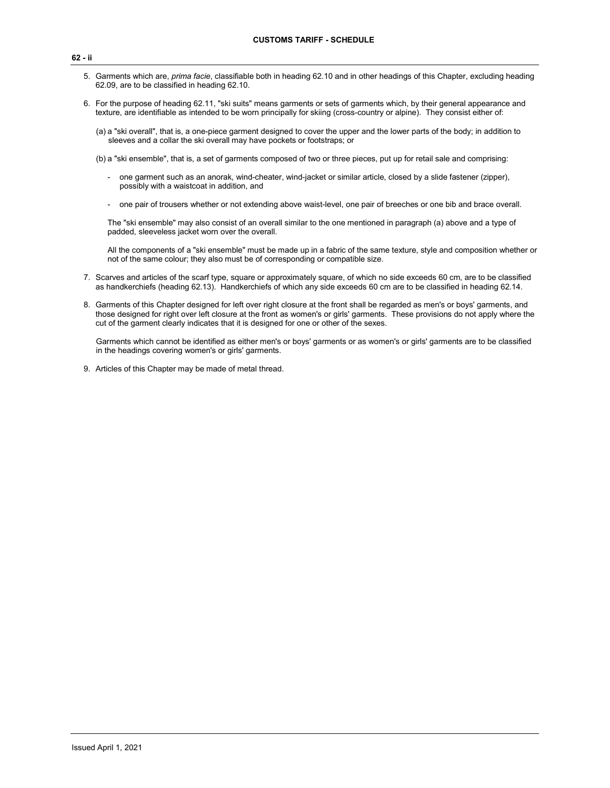- 5. Garments which are, *prima facie*, classifiable both in heading 62.10 and in other headings of this Chapter, excluding heading 62.09, are to be classified in heading 62.10.
- 6. For the purpose of heading 62.11, "ski suits" means garments or sets of garments which, by their general appearance and texture, are identifiable as intended to be worn principally for skiing (cross-country or alpine). They consist either of:
	- (a) a "ski overall", that is, a one-piece garment designed to cover the upper and the lower parts of the body; in addition to sleeves and a collar the ski overall may have pockets or footstraps; or
	- (b) a "ski ensemble", that is, a set of garments composed of two or three pieces, put up for retail sale and comprising:
		- one garment such as an anorak, wind-cheater, wind-jacket or similar article, closed by a slide fastener (zipper), possibly with a waistcoat in addition, and
		- one pair of trousers whether or not extending above waist-level, one pair of breeches or one bib and brace overall.

The "ski ensemble" may also consist of an overall similar to the one mentioned in paragraph (a) above and a type of padded, sleeveless jacket worn over the overall.

All the components of a "ski ensemble" must be made up in a fabric of the same texture, style and composition whether or not of the same colour; they also must be of corresponding or compatible size.

- 7. Scarves and articles of the scarf type, square or approximately square, of which no side exceeds 60 cm, are to be classified as handkerchiefs (heading 62.13). Handkerchiefs of which any side exceeds 60 cm are to be classified in heading 62.14.
- 8. Garments of this Chapter designed for left over right closure at the front shall be regarded as men's or boys' garments, and those designed for right over left closure at the front as women's or girls' garments. These provisions do not apply where the cut of the garment clearly indicates that it is designed for one or other of the sexes.

Garments which cannot be identified as either men's or boys' garments or as women's or girls' garments are to be classified in the headings covering women's or girls' garments.

9. Articles of this Chapter may be made of metal thread.

**62 - ii**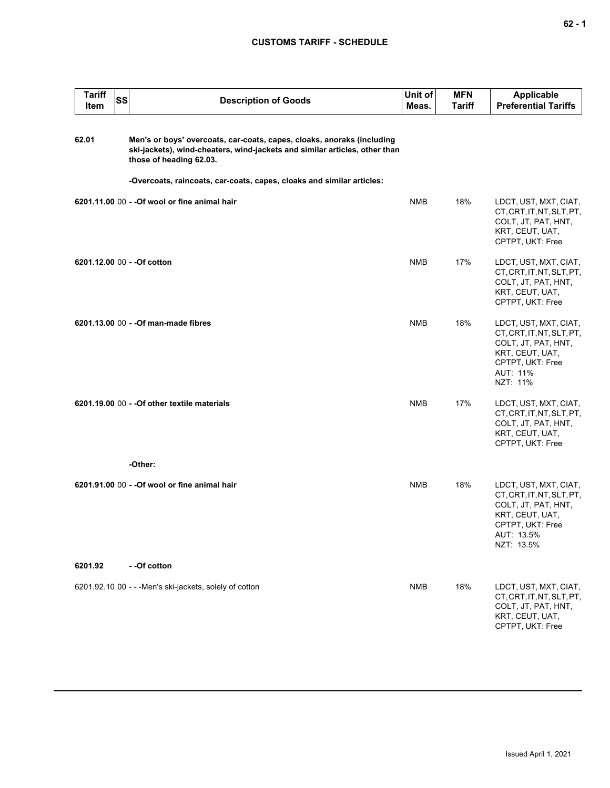| <b>Tariff</b><br>Item | <b>SS</b> | <b>Description of Goods</b>                                                                                                                                                                                                                              | Unit of<br>Meas. | <b>MFN</b><br>Tariff | <b>Applicable</b><br><b>Preferential Tariffs</b>                                                                                             |
|-----------------------|-----------|----------------------------------------------------------------------------------------------------------------------------------------------------------------------------------------------------------------------------------------------------------|------------------|----------------------|----------------------------------------------------------------------------------------------------------------------------------------------|
| 62.01                 |           | Men's or boys' overcoats, car-coats, capes, cloaks, anoraks (including<br>ski-jackets), wind-cheaters, wind-jackets and similar articles, other than<br>those of heading 62.03.<br>-Overcoats, raincoats, car-coats, capes, cloaks and similar articles: |                  |                      |                                                                                                                                              |
|                       |           |                                                                                                                                                                                                                                                          |                  |                      |                                                                                                                                              |
|                       |           | 6201.11.00 00 - - Of wool or fine animal hair                                                                                                                                                                                                            | <b>NMB</b>       | 18%                  | LDCT, UST, MXT, CIAT,<br>CT, CRT, IT, NT, SLT, PT,<br>COLT, JT, PAT, HNT,<br>KRT, CEUT, UAT,<br>CPTPT, UKT: Free                             |
|                       |           | 6201.12.00 00 - - Of cotton                                                                                                                                                                                                                              | <b>NMB</b>       | 17%                  | LDCT, UST, MXT, CIAT,<br>CT, CRT, IT, NT, SLT, PT,<br>COLT, JT, PAT, HNT,<br>KRT, CEUT, UAT,<br>CPTPT, UKT: Free                             |
|                       |           | 6201.13.00 00 - - Of man-made fibres                                                                                                                                                                                                                     | <b>NMB</b>       | 18%                  | LDCT, UST, MXT, CIAT,<br>CT, CRT, IT, NT, SLT, PT,<br>COLT, JT, PAT, HNT,<br>KRT, CEUT, UAT,<br>CPTPT, UKT: Free<br>AUT: 11%<br>NZT: 11%     |
|                       |           | 6201.19.00 00 - - Of other textile materials                                                                                                                                                                                                             | <b>NMB</b>       | 17%                  | LDCT, UST, MXT, CIAT,<br>CT, CRT, IT, NT, SLT, PT,<br>COLT, JT, PAT, HNT,<br>KRT, CEUT, UAT,<br>CPTPT, UKT: Free                             |
|                       |           | -Other:                                                                                                                                                                                                                                                  |                  |                      |                                                                                                                                              |
|                       |           | 6201.91.00 00 - - Of wool or fine animal hair                                                                                                                                                                                                            | <b>NMB</b>       | 18%                  | LDCT, UST, MXT, CIAT,<br>CT, CRT, IT, NT, SLT, PT,<br>COLT, JT, PAT, HNT,<br>KRT, CEUT, UAT,<br>CPTPT, UKT: Free<br>AUT: 13.5%<br>NZT: 13.5% |
| 6201.92               |           | - -Of cotton                                                                                                                                                                                                                                             |                  |                      |                                                                                                                                              |
|                       |           | 6201.92.10 00 - - - Men's ski-jackets, solely of cotton                                                                                                                                                                                                  | <b>NMB</b>       | 18%                  | LDCT, UST, MXT, CIAT,<br>CT, CRT, IT, NT, SLT, PT,<br>COLT, JT, PAT, HNT,<br>KRT, CEUT, UAT,<br>CPTPT, UKT: Free                             |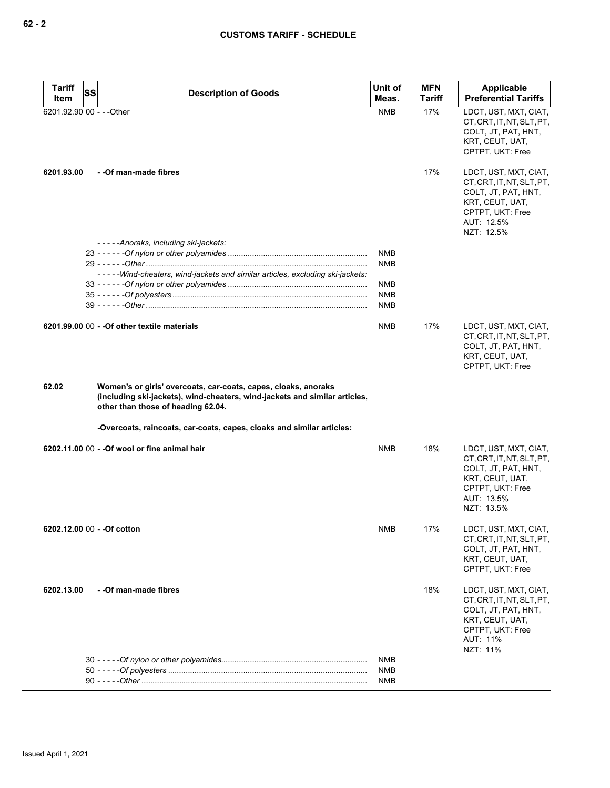| Tariff<br>Item | <b>SS</b><br><b>Description of Goods</b>                                                                                                                                                                                                                    | Unit of<br>Meas.  | <b>MFN</b><br><b>Tariff</b> | Applicable<br><b>Preferential Tariffs</b>                                                                                                |
|----------------|-------------------------------------------------------------------------------------------------------------------------------------------------------------------------------------------------------------------------------------------------------------|-------------------|-----------------------------|------------------------------------------------------------------------------------------------------------------------------------------|
|                | 6201.92.90 00 - - - Other                                                                                                                                                                                                                                   | <b>NMB</b>        | 17%                         | LDCT, UST, MXT, CIAT,<br>CT, CRT, IT, NT, SLT, PT,                                                                                       |
|                |                                                                                                                                                                                                                                                             |                   |                             | COLT, JT, PAT, HNT,<br>KRT, CEUT, UAT,<br>CPTPT, UKT: Free                                                                               |
| 6201.93.00     | - - Of man-made fibres                                                                                                                                                                                                                                      |                   | 17%                         | LDCT, UST, MXT, CIAT,<br>CT.CRT.IT.NT.SLT.PT.<br>COLT, JT, PAT, HNT,<br>KRT, CEUT, UAT,<br>CPTPT, UKT: Free<br>AUT: 12.5%<br>NZT: 12.5%  |
|                | -----Anoraks, including ski-jackets:                                                                                                                                                                                                                        |                   |                             |                                                                                                                                          |
|                |                                                                                                                                                                                                                                                             | NMB               |                             |                                                                                                                                          |
|                |                                                                                                                                                                                                                                                             | <b>NMB</b>        |                             |                                                                                                                                          |
|                | -----Wind-cheaters, wind-jackets and similar articles, excluding ski-jackets:                                                                                                                                                                               | NMB               |                             |                                                                                                                                          |
|                |                                                                                                                                                                                                                                                             | NMB               |                             |                                                                                                                                          |
|                |                                                                                                                                                                                                                                                             | NMB               |                             |                                                                                                                                          |
|                | 6201.99.00 00 - - Of other textile materials                                                                                                                                                                                                                | NMB               | 17%                         | LDCT, UST, MXT, CIAT,<br>CT, CRT, IT, NT, SLT, PT,<br>COLT, JT, PAT, HNT,<br>KRT, CEUT, UAT,<br>CPTPT, UKT: Free                         |
| 62.02          | Women's or girls' overcoats, car-coats, capes, cloaks, anoraks<br>(including ski-jackets), wind-cheaters, wind-jackets and similar articles,<br>other than those of heading 62.04.<br>-Overcoats, raincoats, car-coats, capes, cloaks and similar articles: |                   |                             |                                                                                                                                          |
|                | 6202.11.00 00 - - Of wool or fine animal hair                                                                                                                                                                                                               | <b>NMB</b>        | 18%                         | LDCT, UST, MXT, CIAT,                                                                                                                    |
|                |                                                                                                                                                                                                                                                             |                   |                             | CT, CRT, IT, NT, SLT, PT,<br>COLT, JT, PAT, HNT,<br>KRT, CEUT, UAT,<br>CPTPT, UKT: Free<br>AUT: 13.5%<br>NZT: 13.5%                      |
|                | 6202.12.00 00 - - Of cotton                                                                                                                                                                                                                                 | NMB               | 17%                         | LDCT, UST, MXT, CIAT,<br>CT, CRT, IT, NT, SLT, PT,<br>COLT, JT, PAT, HNT,<br>KRT, CEUT, UAT,<br>CPTPT, UKT: Free                         |
| 6202.13.00     | - - Of man-made fibres                                                                                                                                                                                                                                      |                   | 18%                         | LDCT, UST, MXT, CIAT,<br>CT, CRT, IT, NT, SLT, PT,<br>COLT, JT, PAT, HNT,<br>KRT, CEUT, UAT,<br>CPTPT, UKT: Free<br>AUT: 11%<br>NZT: 11% |
|                |                                                                                                                                                                                                                                                             | NMB               |                             |                                                                                                                                          |
|                |                                                                                                                                                                                                                                                             | NMB<br><b>NMB</b> |                             |                                                                                                                                          |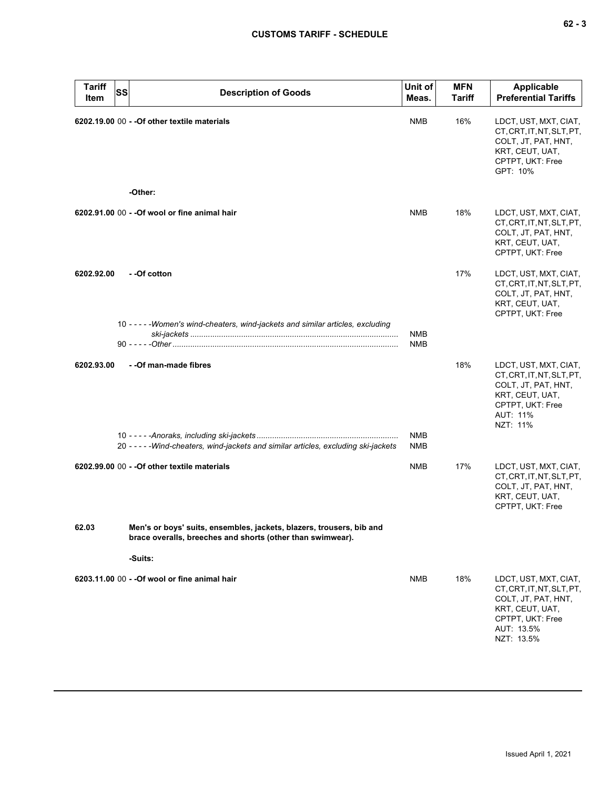| <b>Tariff</b><br>Item | <b>SS</b> | <b>Description of Goods</b>                                                                                                        | Unit of<br>Meas.         | <b>MFN</b><br>Tariff | <b>Applicable</b><br><b>Preferential Tariffs</b>                                                                                             |
|-----------------------|-----------|------------------------------------------------------------------------------------------------------------------------------------|--------------------------|----------------------|----------------------------------------------------------------------------------------------------------------------------------------------|
|                       |           | 6202.19.00 00 - - Of other textile materials                                                                                       | NMB                      | 16%                  | LDCT, UST, MXT, CIAT,<br>CT, CRT, IT, NT, SLT, PT,<br>COLT, JT, PAT, HNT,<br>KRT, CEUT, UAT,<br>CPTPT, UKT: Free<br>GPT: 10%                 |
|                       |           | -Other:                                                                                                                            |                          |                      |                                                                                                                                              |
|                       |           | 6202.91.00 00 - - Of wool or fine animal hair                                                                                      | <b>NMB</b>               | 18%                  | LDCT, UST, MXT, CIAT,<br>CT, CRT, IT, NT, SLT, PT,<br>COLT, JT, PAT, HNT,<br>KRT, CEUT, UAT,<br>CPTPT, UKT: Free                             |
| 6202.92.00            |           | - -Of cotton                                                                                                                       |                          | 17%                  | LDCT, UST, MXT, CIAT,<br>CT, CRT, IT, NT, SLT, PT,<br>COLT, JT, PAT, HNT,<br>KRT, CEUT, UAT,<br>CPTPT, UKT: Free                             |
|                       |           | 10 - - - - - Women's wind-cheaters, wind-jackets and similar articles, excluding                                                   | <b>NMB</b><br><b>NMB</b> |                      |                                                                                                                                              |
|                       |           |                                                                                                                                    |                          |                      |                                                                                                                                              |
| 6202.93.00            |           | - - Of man-made fibres                                                                                                             |                          | 18%                  | LDCT, UST, MXT, CIAT,<br>CT, CRT, IT, NT, SLT, PT,<br>COLT, JT, PAT, HNT,<br>KRT, CEUT, UAT,<br>CPTPT, UKT: Free<br>AUT: 11%<br>NZT: 11%     |
|                       |           |                                                                                                                                    | <b>NMB</b>               |                      |                                                                                                                                              |
|                       |           | 20 - - - - - Wind-cheaters, wind-jackets and similar articles, excluding ski-jackets                                               | <b>NMB</b>               |                      |                                                                                                                                              |
|                       |           | 6202.99.00 00 - - Of other textile materials                                                                                       | <b>NMB</b>               | 17%                  | LDCT, UST, MXT, CIAT,<br>CT, CRT, IT, NT, SLT, PT,<br>COLT, JT, PAT, HNT,<br>KRT, CEUT, UAT,<br>CPTPT, UKT: Free                             |
| 62.03                 |           | Men's or boys' suits, ensembles, jackets, blazers, trousers, bib and<br>brace overalls, breeches and shorts (other than swimwear). |                          |                      |                                                                                                                                              |
|                       |           | -Suits:                                                                                                                            |                          |                      |                                                                                                                                              |
|                       |           | 6203.11.00 00 - - Of wool or fine animal hair                                                                                      | <b>NMB</b>               | 18%                  | LDCT, UST, MXT, CIAT,<br>CT, CRT, IT, NT, SLT, PT,<br>COLT, JT, PAT, HNT,<br>KRT, CEUT, UAT,<br>CPTPT, UKT: Free<br>AUT: 13.5%<br>NZT: 13.5% |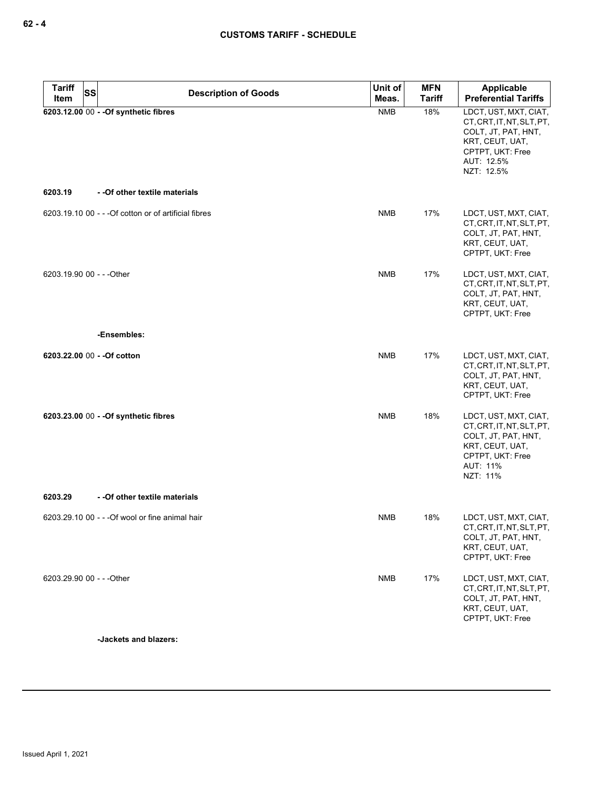| Tariff<br>ltem            | <b>SS</b> | <b>Description of Goods</b>                           | Unit of<br>Meas. | <b>MFN</b><br><b>Tariff</b> | <b>Applicable</b><br><b>Preferential Tariffs</b>                                                                                             |
|---------------------------|-----------|-------------------------------------------------------|------------------|-----------------------------|----------------------------------------------------------------------------------------------------------------------------------------------|
|                           |           | 6203.12.00 00 - - Of synthetic fibres                 | <b>NMB</b>       | 18%                         | LDCT, UST, MXT, CIAT,<br>CT, CRT, IT, NT, SLT, PT,<br>COLT, JT, PAT, HNT,<br>KRT, CEUT, UAT,<br>CPTPT, UKT: Free<br>AUT: 12.5%<br>NZT: 12.5% |
| 6203.19                   |           | - - Of other textile materials                        |                  |                             |                                                                                                                                              |
|                           |           | 6203.19.10 00 - - - Of cotton or of artificial fibres | <b>NMB</b>       | 17%                         | LDCT, UST, MXT, CIAT,<br>CT, CRT, IT, NT, SLT, PT,<br>COLT, JT, PAT, HNT,<br>KRT, CEUT, UAT,<br>CPTPT, UKT: Free                             |
| 6203.19.90 00 - - - Other |           |                                                       | <b>NMB</b>       | 17%                         | LDCT, UST, MXT, CIAT,<br>CT, CRT, IT, NT, SLT, PT,<br>COLT, JT, PAT, HNT,<br>KRT, CEUT, UAT,<br>CPTPT, UKT: Free                             |
|                           |           | -Ensembles:                                           |                  |                             |                                                                                                                                              |
|                           |           | 6203.22.00 00 - - Of cotton                           | <b>NMB</b>       | 17%                         | LDCT, UST, MXT, CIAT,<br>CT, CRT, IT, NT, SLT, PT,<br>COLT, JT, PAT, HNT,<br>KRT, CEUT, UAT,<br>CPTPT, UKT: Free                             |
|                           |           | 6203.23.00 00 - - Of synthetic fibres                 | <b>NMB</b>       | 18%                         | LDCT, UST, MXT, CIAT,<br>CT, CRT, IT, NT, SLT, PT,<br>COLT, JT, PAT, HNT,<br>KRT, CEUT, UAT,<br>CPTPT, UKT: Free<br>AUT: 11%<br>NZT: 11%     |
| 6203.29                   |           | - - Of other textile materials                        |                  |                             |                                                                                                                                              |
|                           |           | 6203.29.10 00 - - - Of wool or fine animal hair       | NMB              | 18%                         | LDCT, UST, MXT, CIAT,<br>CT, CRT, IT, NT, SLT, PT,<br>COLT, JT, PAT, HNT,<br>KRT, CEUT, UAT,<br>CPTPT, UKT: Free                             |
| 6203.29.90 00 - - - Other |           |                                                       | <b>NMB</b>       | 17%                         | LDCT, UST, MXT, CIAT,<br>CT, CRT, IT, NT, SLT, PT,<br>COLT, JT, PAT, HNT,<br>KRT, CEUT, UAT,<br>CPTPT, UKT: Free                             |

**-Jackets and blazers:**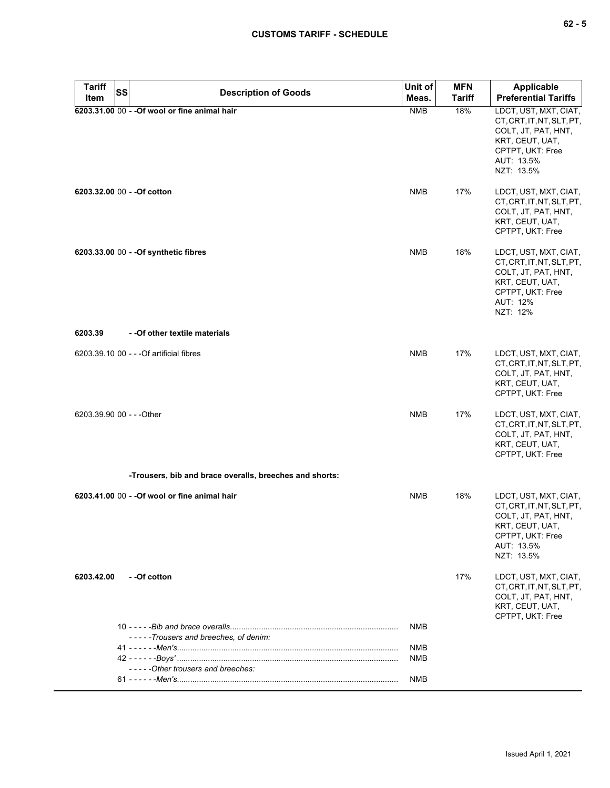| <b>Tariff</b><br><b>SS</b>  | <b>Description of Goods</b>                                                                                                              | Unit of    | <b>MFN</b>    | <b>Applicable</b>                                                                                                                            |
|-----------------------------|------------------------------------------------------------------------------------------------------------------------------------------|------------|---------------|----------------------------------------------------------------------------------------------------------------------------------------------|
| Item                        |                                                                                                                                          | Meas.      | <b>Tariff</b> | <b>Preferential Tariffs</b>                                                                                                                  |
|                             | 6203.31.00 00 - - Of wool or fine animal hair                                                                                            | <b>NMB</b> | 18%           | LDCT, UST, MXT, CIAT,<br>CT, CRT, IT, NT, SLT, PT,<br>COLT, JT, PAT, HNT,<br>KRT, CEUT, UAT,<br>CPTPT, UKT: Free<br>AUT: 13.5%<br>NZT: 13.5% |
| 6203.32.00 00 - - Of cotton |                                                                                                                                          | <b>NMB</b> | 17%           | LDCT, UST, MXT, CIAT,<br>CT, CRT, IT, NT, SLT, PT,<br>COLT, JT, PAT, HNT,<br>KRT, CEUT, UAT,<br>CPTPT, UKT: Free                             |
|                             | 6203.33.00 00 - - Of synthetic fibres                                                                                                    | <b>NMB</b> | 18%           | LDCT, UST, MXT, CIAT,<br>CT, CRT, IT, NT, SLT, PT,<br>COLT, JT, PAT, HNT,<br>KRT, CEUT, UAT,<br>CPTPT, UKT: Free<br>AUT: 12%<br>NZT: 12%     |
| 6203.39                     | - - Of other textile materials                                                                                                           |            |               |                                                                                                                                              |
|                             | 6203.39.10 00 - - - Of artificial fibres                                                                                                 | <b>NMB</b> | 17%           | LDCT, UST, MXT, CIAT,<br>CT, CRT, IT, NT, SLT, PT,<br>COLT, JT, PAT, HNT,<br>KRT, CEUT, UAT,<br>CPTPT, UKT: Free                             |
| 6203.39.90 00 - - - Other   |                                                                                                                                          | <b>NMB</b> | 17%           | LDCT, UST, MXT, CIAT,<br>CT, CRT, IT, NT, SLT, PT,<br>COLT, JT, PAT, HNT,<br>KRT, CEUT, UAT,<br>CPTPT, UKT: Free                             |
|                             | -Trousers, bib and brace overalls, breeches and shorts:                                                                                  |            |               |                                                                                                                                              |
|                             | 6203.41.00 00 - - Of wool or fine animal hair                                                                                            | <b>NMB</b> | 18%           | LDCT, UST, MXT, CIAT,<br>CT, CRT, IT, NT, SLT, PT,<br>COLT, JT, PAT, HNT,<br>KRT, CEUT, UAT,<br>CPTPT, UKT: Free<br>AUT: 13.5%<br>NZT: 13.5% |
| 6203.42.00                  | - -Of cotton                                                                                                                             |            | 17%           | LDCT, UST, MXT, CIAT,<br>CT, CRT, IT, NT, SLT, PT,<br>COLT, JT, PAT, HNT,<br>KRT, CEUT, UAT,<br>CPTPT, UKT: Free                             |
|                             |                                                                                                                                          | NMB        |               |                                                                                                                                              |
|                             | -----Trousers and breeches, of denim:<br><u>41 - - - - - -Men's……………………………………………………………………………………</u><br>-----Other trousers and breeches: | NMB<br>NMB |               |                                                                                                                                              |
|                             |                                                                                                                                          | NMB        |               |                                                                                                                                              |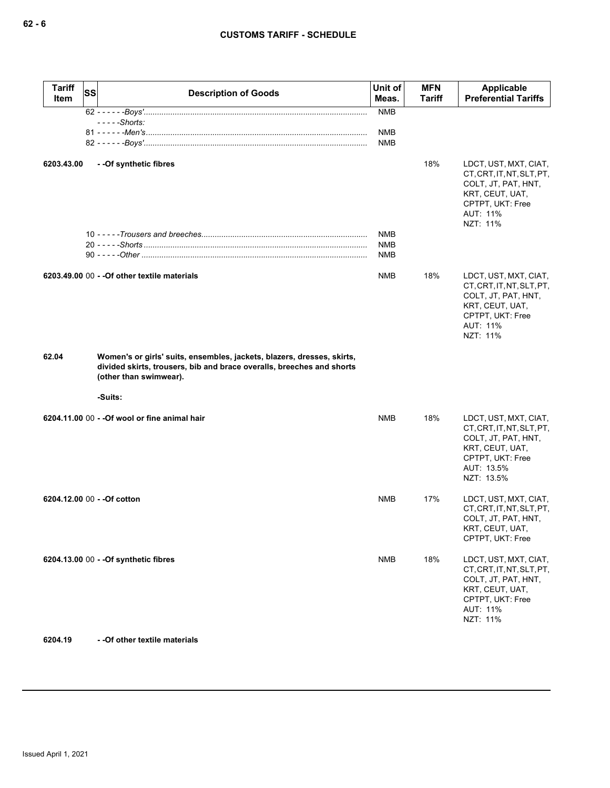| <b>Tariff</b><br>Item | SS | <b>Description of Goods</b>                                                                                                                                               | Unit of<br>Meas. | <b>MFN</b><br><b>Tariff</b> | <b>Applicable</b><br><b>Preferential Tariffs</b>                                                                                             |
|-----------------------|----|---------------------------------------------------------------------------------------------------------------------------------------------------------------------------|------------------|-----------------------------|----------------------------------------------------------------------------------------------------------------------------------------------|
|                       |    |                                                                                                                                                                           | <b>NMB</b>       |                             |                                                                                                                                              |
|                       |    | - - - - - Shorts:                                                                                                                                                         | NMB              |                             |                                                                                                                                              |
|                       |    |                                                                                                                                                                           | <b>NMB</b>       |                             |                                                                                                                                              |
| 6203.43.00            |    | - -Of synthetic fibres                                                                                                                                                    | NMB              | 18%                         | LDCT, UST, MXT, CIAT,<br>CT, CRT, IT, NT, SLT, PT,<br>COLT, JT, PAT, HNT,<br>KRT, CEUT, UAT,<br>CPTPT, UKT: Free<br>AUT: 11%<br>NZT: 11%     |
|                       |    |                                                                                                                                                                           | NMB<br>NMB       |                             |                                                                                                                                              |
|                       |    | 6203.49.00 00 - - Of other textile materials                                                                                                                              | NMB              | 18%                         | LDCT, UST, MXT, CIAT,<br>CT, CRT, IT, NT, SLT, PT,<br>COLT, JT, PAT, HNT,<br>KRT, CEUT, UAT,<br>CPTPT, UKT: Free<br>AUT: 11%<br>NZT: 11%     |
| 62.04                 |    | Women's or girls' suits, ensembles, jackets, blazers, dresses, skirts,<br>divided skirts, trousers, bib and brace overalls, breeches and shorts<br>(other than swimwear). |                  |                             |                                                                                                                                              |
|                       |    | -Suits:                                                                                                                                                                   |                  |                             |                                                                                                                                              |
|                       |    | 6204.11.00 00 - - Of wool or fine animal hair                                                                                                                             | NMB              | 18%                         | LDCT, UST, MXT, CIAT,<br>CT, CRT, IT, NT, SLT, PT,<br>COLT, JT, PAT, HNT,<br>KRT, CEUT, UAT,<br>CPTPT, UKT: Free<br>AUT: 13.5%<br>NZT: 13.5% |
|                       |    | 6204.12.00 00 - - Of cotton                                                                                                                                               | NMB              | 17%                         | LDCT, UST, MXT, CIAT,<br>CT, CRT, IT, NT, SLT, PT,<br>COLT, JT, PAT, HNT,<br>KRT, CEUT, UAT,<br>CPTPT, UKT: Free                             |
|                       |    | 6204.13.00 00 - - Of synthetic fibres                                                                                                                                     | <b>NMB</b>       | 18%                         | LDCT, UST, MXT, CIAT,<br>CT, CRT, IT, NT, SLT, PT,<br>COLT, JT, PAT, HNT,<br>KRT, CEUT, UAT,<br>CPTPT, UKT: Free<br>AUT: 11%<br>NZT: 11%     |

**6204.19 - -Of other textile materials**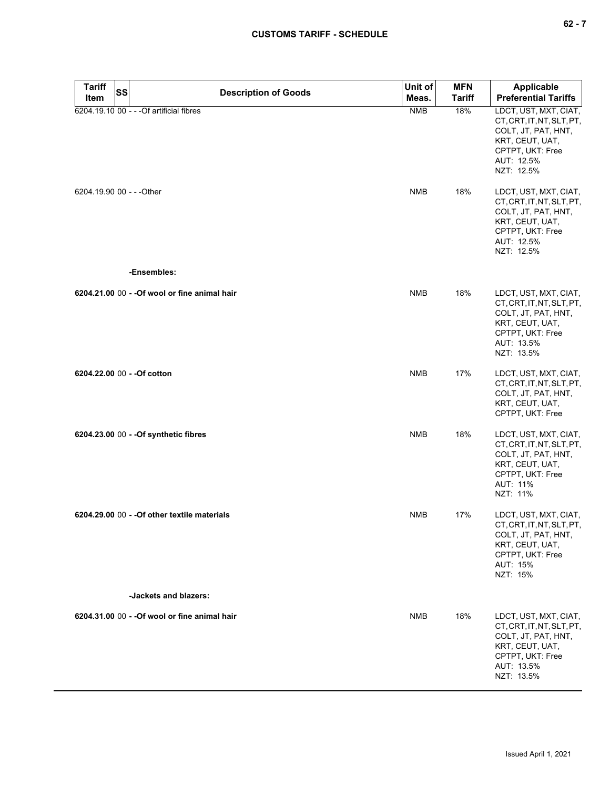| $\sim$ |  |  |
|--------|--|--|
|--------|--|--|

| <b>Tariff</b><br>Item     | <b>SS</b> | <b>Description of Goods</b>                   | Unit of<br>Meas. | <b>MFN</b><br><b>Tariff</b> | <b>Applicable</b><br><b>Preferential Tariffs</b>                                                                                             |
|---------------------------|-----------|-----------------------------------------------|------------------|-----------------------------|----------------------------------------------------------------------------------------------------------------------------------------------|
|                           |           | 6204.19.10 00 - - - Of artificial fibres      | <b>NMB</b>       | 18%                         | LDCT, UST, MXT, CIAT,<br>CT, CRT, IT, NT, SLT, PT,<br>COLT, JT, PAT, HNT,<br>KRT, CEUT, UAT,<br>CPTPT, UKT: Free<br>AUT: 12.5%<br>NZT: 12.5% |
| 6204.19.90 00 - - - Other |           |                                               | <b>NMB</b>       | 18%                         | LDCT, UST, MXT, CIAT,<br>CT, CRT, IT, NT, SLT, PT,<br>COLT, JT, PAT, HNT,<br>KRT, CEUT, UAT,<br>CPTPT, UKT: Free<br>AUT: 12.5%<br>NZT: 12.5% |
|                           |           | -Ensembles:                                   |                  |                             |                                                                                                                                              |
|                           |           | 6204.21.00 00 - - Of wool or fine animal hair | <b>NMB</b>       | 18%                         | LDCT, UST, MXT, CIAT,<br>CT, CRT, IT, NT, SLT, PT,<br>COLT, JT, PAT, HNT,<br>KRT, CEUT, UAT,<br>CPTPT, UKT: Free<br>AUT: 13.5%<br>NZT: 13.5% |
|                           |           | 6204.22.00 00 - - Of cotton                   | <b>NMB</b>       | 17%                         | LDCT, UST, MXT, CIAT,<br>CT, CRT, IT, NT, SLT, PT,<br>COLT, JT, PAT, HNT,<br>KRT, CEUT, UAT,<br>CPTPT, UKT: Free                             |
|                           |           | 6204.23.00 00 - - Of synthetic fibres         | <b>NMB</b>       | 18%                         | LDCT, UST, MXT, CIAT,<br>CT, CRT, IT, NT, SLT, PT,<br>COLT, JT, PAT, HNT,<br>KRT, CEUT, UAT,<br>CPTPT, UKT: Free<br>AUT: 11%<br>NZT: 11%     |
|                           |           | 6204.29.00 00 - - Of other textile materials  | <b>NMB</b>       | 17%                         | LDCT, UST, MXT, CIAT,<br>CT, CRT, IT, NT, SLT, PT,<br>COLT, JT, PAT, HNT,<br>KRT, CEUT, UAT,<br>CPTPT, UKT: Free<br>AUT: 15%<br>NZT: 15%     |
|                           |           | -Jackets and blazers:                         |                  |                             |                                                                                                                                              |
|                           |           | 6204.31.00 00 - - Of wool or fine animal hair | <b>NMB</b>       | 18%                         | LDCT, UST, MXT, CIAT,<br>CT, CRT, IT, NT, SLT, PT,<br>COLT, JT, PAT, HNT,<br>KRT, CEUT, UAT,<br>CPTPT, UKT: Free<br>AUT: 13.5%<br>NZT: 13.5% |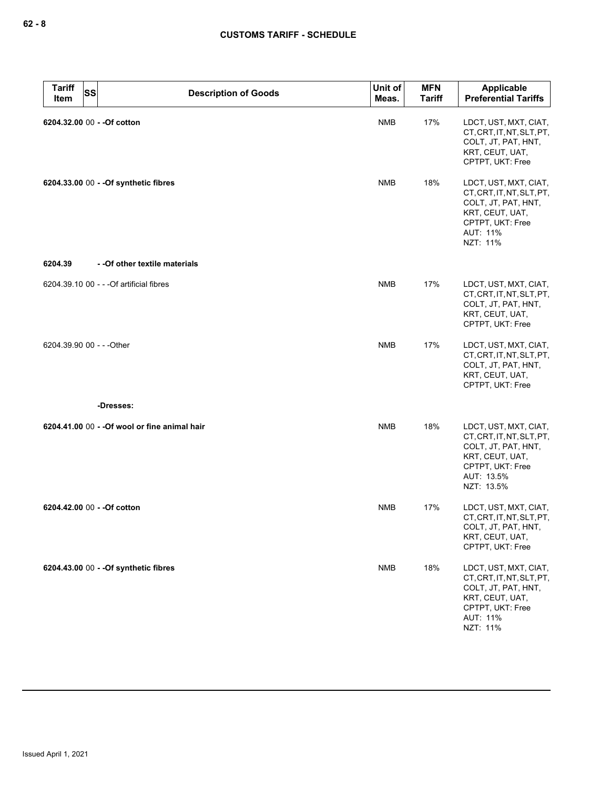| <b>Tariff</b><br>Item | <b>SS</b><br><b>Description of Goods</b>      | Unit of<br>Meas. | <b>MFN</b><br><b>Tariff</b> | Applicable<br><b>Preferential Tariffs</b>                                                                                                    |
|-----------------------|-----------------------------------------------|------------------|-----------------------------|----------------------------------------------------------------------------------------------------------------------------------------------|
|                       | 6204.32.00 00 - - Of cotton                   | <b>NMB</b>       | 17%                         | LDCT, UST, MXT, CIAT,<br>CT, CRT, IT, NT, SLT, PT,<br>COLT, JT, PAT, HNT,<br>KRT, CEUT, UAT,<br>CPTPT, UKT: Free                             |
|                       | 6204.33.00 00 - - Of synthetic fibres         | <b>NMB</b>       | 18%                         | LDCT, UST, MXT, CIAT,<br>CT, CRT, IT, NT, SLT, PT,<br>COLT, JT, PAT, HNT,<br>KRT, CEUT, UAT,<br>CPTPT, UKT: Free<br>AUT: 11%<br>NZT: 11%     |
| 6204.39               | - - Of other textile materials                |                  |                             |                                                                                                                                              |
|                       | 6204.39.10 00 - - - Of artificial fibres      | <b>NMB</b>       | 17%                         | LDCT, UST, MXT, CIAT,<br>CT, CRT, IT, NT, SLT, PT,<br>COLT, JT, PAT, HNT,<br>KRT, CEUT, UAT,<br>CPTPT, UKT: Free                             |
|                       | 6204.39.90 00 - - - Other                     | <b>NMB</b>       | 17%                         | LDCT, UST, MXT, CIAT,<br>CT, CRT, IT, NT, SLT, PT,<br>COLT, JT, PAT, HNT,<br>KRT, CEUT, UAT,<br>CPTPT, UKT: Free                             |
|                       | -Dresses:                                     |                  |                             |                                                                                                                                              |
|                       | 6204.41.00 00 - - Of wool or fine animal hair | <b>NMB</b>       | 18%                         | LDCT, UST, MXT, CIAT,<br>CT, CRT, IT, NT, SLT, PT,<br>COLT, JT, PAT, HNT,<br>KRT, CEUT, UAT,<br>CPTPT, UKT: Free<br>AUT: 13.5%<br>NZT: 13.5% |
|                       | 6204.42.00 00 - - Of cotton                   | <b>NMB</b>       | 17%                         | LDCT, UST, MXT, CIAT,<br>CT, CRT, IT, NT, SLT, PT,<br>COLT, JT, PAT, HNT,<br>KRT, CEUT, UAT,<br>CPTPT, UKT: Free                             |
|                       | 6204.43.00 00 - - Of synthetic fibres         | <b>NMB</b>       | 18%                         | LDCT, UST, MXT, CIAT,<br>CT, CRT, IT, NT, SLT, PT,<br>COLT, JT, PAT, HNT,<br>KRT, CEUT, UAT,<br>CPTPT, UKT: Free<br>AUT: 11%<br>NZT: 11%     |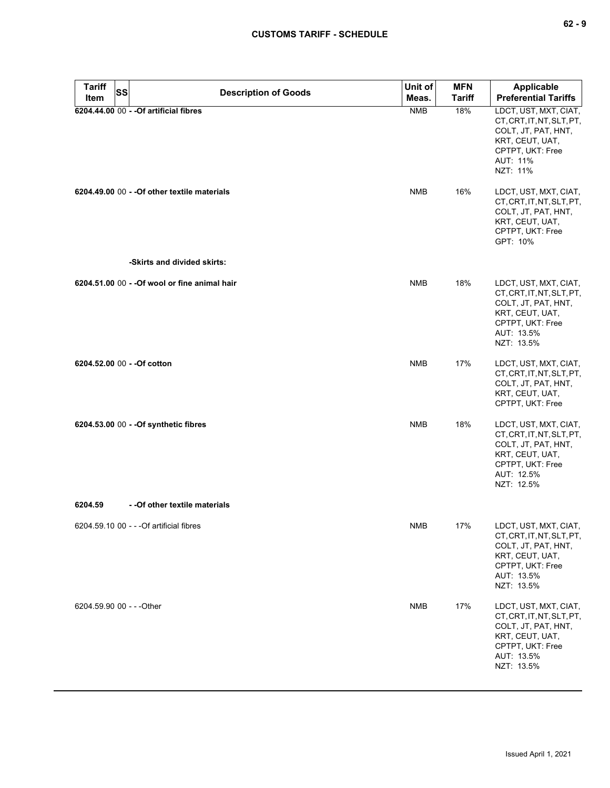| . . | . .<br>۰. |
|-----|-----------|
|-----|-----------|

| Tariff<br>Item            | <b>SS</b> | <b>Description of Goods</b>                   | Unit of<br>Meas. | <b>MFN</b><br><b>Tariff</b> | <b>Applicable</b><br><b>Preferential Tariffs</b>                                                                                             |
|---------------------------|-----------|-----------------------------------------------|------------------|-----------------------------|----------------------------------------------------------------------------------------------------------------------------------------------|
|                           |           | 6204.44.00 00 - - Of artificial fibres        | <b>NMB</b>       | 18%                         | LDCT, UST, MXT, CIAT,<br>CT, CRT, IT, NT, SLT, PT,<br>COLT, JT, PAT, HNT,<br>KRT, CEUT, UAT,<br>CPTPT, UKT: Free<br>AUT: 11%<br>NZT: 11%     |
|                           |           | 6204.49.00 00 - - Of other textile materials  | <b>NMB</b>       | 16%                         | LDCT, UST, MXT, CIAT,<br>CT, CRT, IT, NT, SLT, PT,<br>COLT, JT, PAT, HNT,<br>KRT, CEUT, UAT,<br>CPTPT, UKT: Free<br>GPT: 10%                 |
|                           |           | -Skirts and divided skirts:                   |                  |                             |                                                                                                                                              |
|                           |           | 6204.51.00 00 - - Of wool or fine animal hair | <b>NMB</b>       | 18%                         | LDCT, UST, MXT, CIAT,<br>CT, CRT, IT, NT, SLT, PT,<br>COLT, JT, PAT, HNT,<br>KRT, CEUT, UAT,<br>CPTPT, UKT: Free<br>AUT: 13.5%<br>NZT: 13.5% |
|                           |           | 6204.52.00 00 - - Of cotton                   | <b>NMB</b>       | 17%                         | LDCT, UST, MXT, CIAT,<br>CT, CRT, IT, NT, SLT, PT,<br>COLT, JT, PAT, HNT,<br>KRT, CEUT, UAT,<br>CPTPT, UKT: Free                             |
|                           |           | 6204.53.00 00 - - Of synthetic fibres         | <b>NMB</b>       | 18%                         | LDCT, UST, MXT, CIAT,<br>CT, CRT, IT, NT, SLT, PT,<br>COLT, JT, PAT, HNT,<br>KRT, CEUT, UAT,<br>CPTPT, UKT: Free<br>AUT: 12.5%<br>NZT: 12.5% |
| 6204.59                   |           | - - Of other textile materials                |                  |                             |                                                                                                                                              |
|                           |           | 6204.59.10 00 - - - Of artificial fibres      | <b>NMB</b>       | 17%                         | LDCT, UST, MXT, CIAT,<br>CT, CRT, IT, NT, SLT, PT,<br>COLT, JT, PAT, HNT,<br>KRT, CEUT, UAT,<br>CPTPT, UKT: Free<br>AUT: 13.5%<br>NZT: 13.5% |
| 6204.59.90 00 - - - Other |           |                                               | <b>NMB</b>       | 17%                         | LDCT, UST, MXT, CIAT,<br>CT, CRT, IT, NT, SLT, PT,<br>COLT, JT, PAT, HNT,<br>KRT, CEUT, UAT,<br>CPTPT, UKT: Free<br>AUT: 13.5%<br>NZT: 13.5% |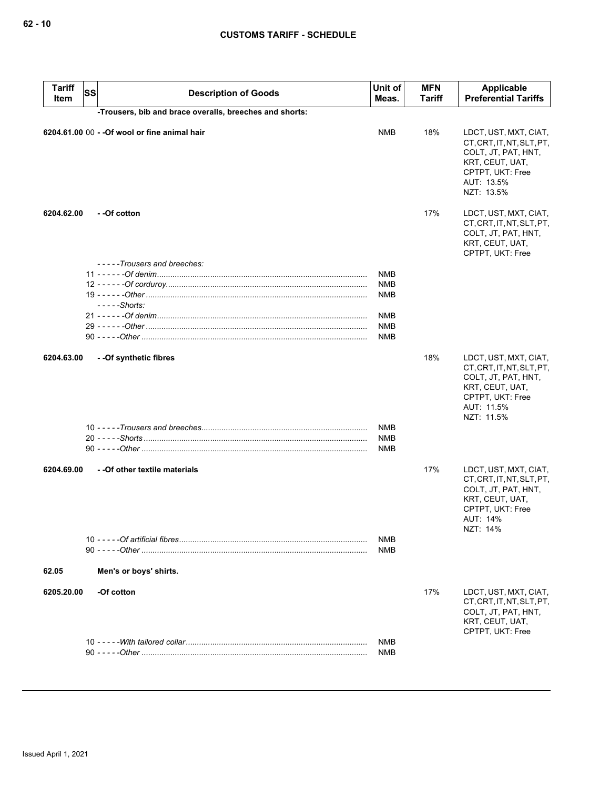| <b>Tariff</b><br>Item | <b>SS</b> | <b>Description of Goods</b>                             | Unit of<br>Meas.                       | <b>MFN</b><br>Tariff | <b>Applicable</b><br><b>Preferential Tariffs</b>                                                                                             |
|-----------------------|-----------|---------------------------------------------------------|----------------------------------------|----------------------|----------------------------------------------------------------------------------------------------------------------------------------------|
|                       |           | -Trousers, bib and brace overalls, breeches and shorts: |                                        |                      |                                                                                                                                              |
|                       |           | 6204.61.00 00 - - Of wool or fine animal hair           | <b>NMB</b>                             | 18%                  | LDCT, UST, MXT, CIAT,<br>CT, CRT, IT, NT, SLT, PT,<br>COLT, JT, PAT, HNT,<br>KRT, CEUT, UAT,<br>CPTPT, UKT: Free<br>AUT: 13.5%<br>NZT: 13.5% |
| 6204.62.00            |           | --Of cotton                                             |                                        | 17%                  | LDCT, UST, MXT, CIAT,<br>CT, CRT, IT, NT, SLT, PT,<br>COLT, JT, PAT, HNT,<br>KRT, CEUT, UAT,<br>CPTPT, UKT: Free                             |
|                       |           | -----Trousers and breeches:                             |                                        |                      |                                                                                                                                              |
|                       |           | $--$ - $-$ Shorts:                                      | <b>NMB</b><br><b>NMB</b><br><b>NMB</b> |                      |                                                                                                                                              |
|                       |           |                                                         | <b>NMB</b>                             |                      |                                                                                                                                              |
|                       |           |                                                         | <b>NMB</b>                             |                      |                                                                                                                                              |
|                       |           |                                                         | <b>NMB</b>                             |                      |                                                                                                                                              |
| 6204.63.00            |           | - - Of synthetic fibres                                 | <b>NMB</b>                             | 18%                  | LDCT, UST, MXT, CIAT,<br>CT, CRT, IT, NT, SLT, PT,<br>COLT, JT, PAT, HNT,<br>KRT, CEUT, UAT,<br>CPTPT, UKT: Free<br>AUT: 11.5%<br>NZT: 11.5% |
|                       |           |                                                         | <b>NMB</b>                             |                      |                                                                                                                                              |
|                       |           |                                                         | <b>NMB</b>                             |                      |                                                                                                                                              |
|                       |           |                                                         |                                        |                      |                                                                                                                                              |
| 6204.69.00            |           | - - Of other textile materials                          |                                        | 17%                  | LDCT, UST, MXT, CIAT,<br>CT, CRT, IT, NT, SLT, PT,<br>COLT, JT, PAT, HNT,<br>KRT, CEUT, UAT,<br>CPTPT, UKT: Free<br>AUT: 14%<br>NZT: 14%     |
|                       |           |                                                         | NMB                                    |                      |                                                                                                                                              |
|                       |           |                                                         | <b>NMB</b>                             |                      |                                                                                                                                              |
| 62.05                 |           | Men's or boys' shirts.                                  |                                        |                      |                                                                                                                                              |
| 6205.20.00            |           | -Of cotton                                              |                                        | 17%                  | LDCT, UST, MXT, CIAT,<br>CT, CRT, IT, NT, SLT, PT,<br>COLT, JT, PAT, HNT,<br>KRT, CEUT, UAT,<br>CPTPT, UKT: Free                             |
|                       |           |                                                         | <b>NMB</b>                             |                      |                                                                                                                                              |
|                       |           |                                                         | <b>NMB</b>                             |                      |                                                                                                                                              |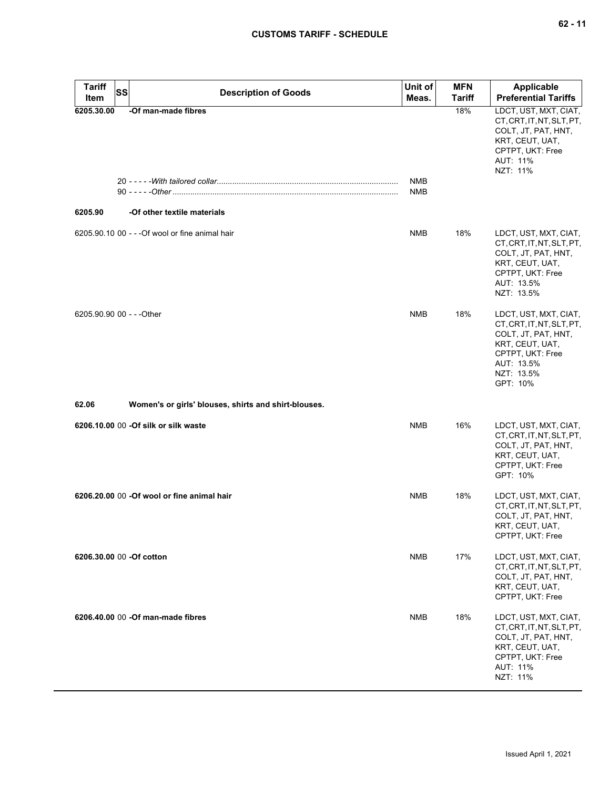| <b>Tariff</b><br>Item     | <b>SS</b> | <b>Description of Goods</b>                          | Unit of<br>Meas. | <b>MFN</b><br><b>Tariff</b> | <b>Applicable</b><br><b>Preferential Tariffs</b>                                                                                                         |
|---------------------------|-----------|------------------------------------------------------|------------------|-----------------------------|----------------------------------------------------------------------------------------------------------------------------------------------------------|
| 6205.30.00                |           | -Of man-made fibres                                  | NMB<br>NMB       | 18%                         | LDCT, UST, MXT, CIAT,<br>CT, CRT, IT, NT, SLT, PT,<br>COLT, JT, PAT, HNT,<br>KRT, CEUT, UAT,<br>CPTPT, UKT: Free<br>AUT: 11%<br>NZT: 11%                 |
| 6205.90                   |           | -Of other textile materials                          |                  |                             |                                                                                                                                                          |
|                           |           | 6205.90.10 00 - - - Of wool or fine animal hair      | <b>NMB</b>       | 18%                         | LDCT, UST, MXT, CIAT,<br>CT, CRT, IT, NT, SLT, PT,<br>COLT, JT, PAT, HNT,<br>KRT, CEUT, UAT,<br>CPTPT, UKT: Free<br>AUT: 13.5%<br>NZT: 13.5%             |
| 6205.90.90 00 - - - Other |           |                                                      | <b>NMB</b>       | 18%                         | LDCT, UST, MXT, CIAT,<br>CT, CRT, IT, NT, SLT, PT,<br>COLT, JT, PAT, HNT,<br>KRT, CEUT, UAT,<br>CPTPT, UKT: Free<br>AUT: 13.5%<br>NZT: 13.5%<br>GPT: 10% |
| 62.06                     |           | Women's or girls' blouses, shirts and shirt-blouses. |                  |                             |                                                                                                                                                          |
|                           |           | 6206.10.00 00 -Of silk or silk waste                 | <b>NMB</b>       | 16%                         | LDCT, UST, MXT, CIAT,<br>CT, CRT, IT, NT, SLT, PT,<br>COLT, JT, PAT, HNT,<br>KRT, CEUT, UAT,<br>CPTPT, UKT: Free<br>GPT: 10%                             |
|                           |           | 6206.20.00 00 - Of wool or fine animal hair          | <b>NMB</b>       | 18%                         | LDCT, UST, MXT, CIAT,<br>CT, CRT, IT, NT, SLT, PT,<br>COLT, JT, PAT, HNT,<br>KRT, CEUT, UAT,<br>CPTPT, UKT: Free                                         |
| 6206.30.00 00 -Of cotton  |           |                                                      | <b>NMB</b>       | 17%                         | LDCT, UST, MXT, CIAT,<br>CT, CRT, IT, NT, SLT, PT,<br>COLT, JT, PAT, HNT,<br>KRT, CEUT, UAT,<br>CPTPT, UKT: Free                                         |
|                           |           | 6206.40.00 00 -Of man-made fibres                    | <b>NMB</b>       | 18%                         | LDCT, UST, MXT, CIAT,<br>CT, CRT, IT, NT, SLT, PT,<br>COLT, JT, PAT, HNT,<br>KRT, CEUT, UAT,<br>CPTPT, UKT: Free<br>AUT: 11%<br>NZT: 11%                 |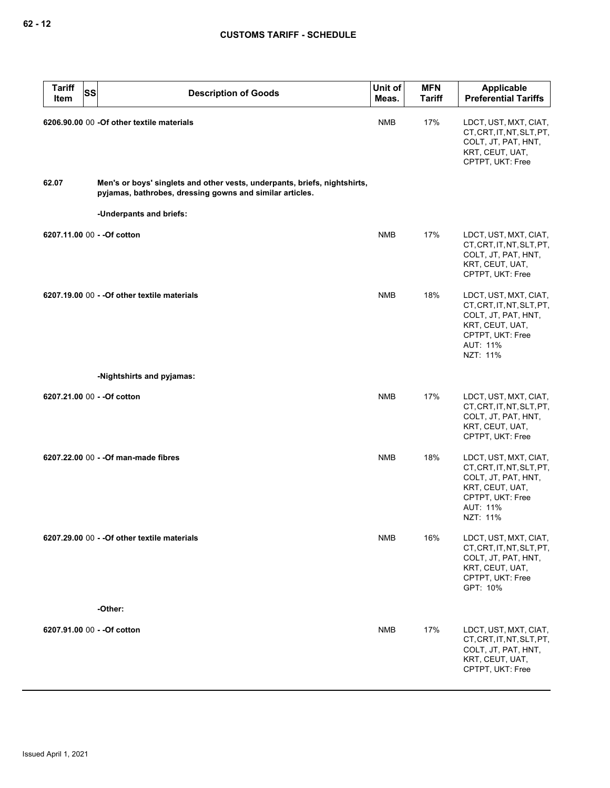| <b>Tariff</b><br><b>SS</b><br>Item | <b>Description of Goods</b>                                                                                                           | Unit of<br>Meas. | <b>MFN</b><br><b>Tariff</b> | <b>Applicable</b><br><b>Preferential Tariffs</b>                                                                                         |
|------------------------------------|---------------------------------------------------------------------------------------------------------------------------------------|------------------|-----------------------------|------------------------------------------------------------------------------------------------------------------------------------------|
|                                    | 6206.90.00 00 -Of other textile materials                                                                                             | <b>NMB</b>       | 17%                         | LDCT, UST, MXT, CIAT,<br>CT, CRT, IT, NT, SLT, PT,<br>COLT, JT, PAT, HNT,<br>KRT, CEUT, UAT,<br>CPTPT, UKT: Free                         |
| 62.07                              | Men's or boys' singlets and other vests, underpants, briefs, nightshirts,<br>pyjamas, bathrobes, dressing gowns and similar articles. |                  |                             |                                                                                                                                          |
|                                    | -Underpants and briefs:                                                                                                               |                  |                             |                                                                                                                                          |
| 6207.11.00 00 - - Of cotton        |                                                                                                                                       | <b>NMB</b>       | 17%                         | LDCT, UST, MXT, CIAT,<br>CT, CRT, IT, NT, SLT, PT,<br>COLT, JT, PAT, HNT,<br>KRT, CEUT, UAT,<br>CPTPT, UKT: Free                         |
|                                    | 6207.19.00 00 - - Of other textile materials                                                                                          | <b>NMB</b>       | 18%                         | LDCT, UST, MXT, CIAT,<br>CT, CRT, IT, NT, SLT, PT,<br>COLT, JT, PAT, HNT,<br>KRT, CEUT, UAT,<br>CPTPT, UKT: Free<br>AUT: 11%<br>NZT: 11% |
|                                    | -Nightshirts and pyjamas:                                                                                                             |                  |                             |                                                                                                                                          |
| 6207.21.00 00 - - Of cotton        |                                                                                                                                       | <b>NMB</b>       | 17%                         | LDCT, UST, MXT, CIAT,<br>CT, CRT, IT, NT, SLT, PT,<br>COLT, JT, PAT, HNT,<br>KRT, CEUT, UAT,<br>CPTPT, UKT: Free                         |
|                                    | 6207.22.00 00 - - Of man-made fibres                                                                                                  | <b>NMB</b>       | 18%                         | LDCT, UST, MXT, CIAT,<br>CT, CRT, IT, NT, SLT, PT,<br>COLT, JT, PAT, HNT,<br>KRT, CEUT, UAT,<br>CPTPT, UKT: Free<br>AUT: 11%<br>NZT: 11% |
|                                    | 6207.29.00 00 - - Of other textile materials                                                                                          | <b>NMB</b>       | 16%                         | LDCT, UST, MXT, CIAT,<br>CT, CRT, IT, NT, SLT, PT,<br>COLT, JT, PAT, HNT,<br>KRT, CEUT, UAT,<br>CPTPT, UKT: Free<br>GPT: 10%             |
|                                    | -Other:                                                                                                                               |                  |                             |                                                                                                                                          |
| 6207.91.00 00 - - Of cotton        |                                                                                                                                       | <b>NMB</b>       | 17%                         | LDCT, UST, MXT, CIAT,<br>CT, CRT, IT, NT, SLT, PT,<br>COLT, JT, PAT, HNT,<br>KRT, CEUT, UAT,<br>CPTPT, UKT: Free                         |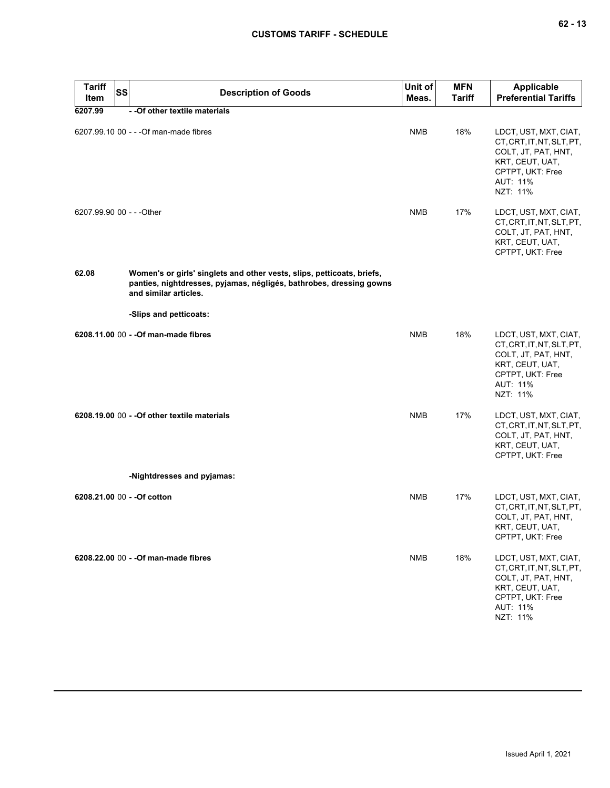| <b>Tariff</b><br>Item     | <b>SS</b> | <b>Description of Goods</b>                                                                                                                                            | Unit of<br>Meas. | <b>MFN</b><br>Tariff | <b>Applicable</b><br><b>Preferential Tariffs</b>                                                                                         |
|---------------------------|-----------|------------------------------------------------------------------------------------------------------------------------------------------------------------------------|------------------|----------------------|------------------------------------------------------------------------------------------------------------------------------------------|
| 6207.99                   |           | - - Of other textile materials                                                                                                                                         |                  |                      |                                                                                                                                          |
|                           |           | 6207.99.10 00 - - - Of man-made fibres                                                                                                                                 | <b>NMB</b>       | 18%                  | LDCT, UST, MXT, CIAT,<br>CT, CRT, IT, NT, SLT, PT,<br>COLT, JT, PAT, HNT,<br>KRT, CEUT, UAT,<br>CPTPT, UKT: Free<br>AUT: 11%<br>NZT: 11% |
| 6207.99.90 00 - - - Other |           |                                                                                                                                                                        | <b>NMB</b>       | 17%                  | LDCT, UST, MXT, CIAT,<br>CT, CRT, IT, NT, SLT, PT,<br>COLT, JT, PAT, HNT,<br>KRT, CEUT, UAT,<br>CPTPT, UKT: Free                         |
| 62.08                     |           | Women's or girls' singlets and other vests, slips, petticoats, briefs,<br>panties, nightdresses, pyjamas, négligés, bathrobes, dressing gowns<br>and similar articles. |                  |                      |                                                                                                                                          |
|                           |           | -Slips and petticoats:                                                                                                                                                 |                  |                      |                                                                                                                                          |
|                           |           | 6208.11.00 00 - - Of man-made fibres                                                                                                                                   | <b>NMB</b>       | 18%                  | LDCT, UST, MXT, CIAT,<br>CT, CRT, IT, NT, SLT, PT,<br>COLT, JT, PAT, HNT,<br>KRT, CEUT, UAT,<br>CPTPT, UKT: Free<br>AUT: 11%<br>NZT: 11% |
|                           |           | 6208.19.00 00 - - Of other textile materials                                                                                                                           | <b>NMB</b>       | 17%                  | LDCT, UST, MXT, CIAT,<br>CT, CRT, IT, NT, SLT, PT,<br>COLT, JT, PAT, HNT,<br>KRT, CEUT, UAT,<br>CPTPT, UKT: Free                         |
|                           |           | -Nightdresses and pyjamas:                                                                                                                                             |                  |                      |                                                                                                                                          |
|                           |           | 6208.21.00 00 - - Of cotton                                                                                                                                            | <b>NMB</b>       | 17%                  | LDCT, UST, MXT, CIAT,<br>CT, CRT, IT, NT, SLT, PT,<br>COLT, JT, PAT, HNT,<br>KRT, CEUT, UAT,<br>CPTPT, UKT: Free                         |
|                           |           | 6208.22.00 00 - - Of man-made fibres                                                                                                                                   | <b>NMB</b>       | 18%                  | LDCT, UST, MXT, CIAT,<br>CT, CRT, IT, NT, SLT, PT,<br>COLT, JT, PAT, HNT,<br>KRT, CEUT, UAT,<br>CPTPT, UKT: Free<br>AUT: 11%<br>NZT: 11% |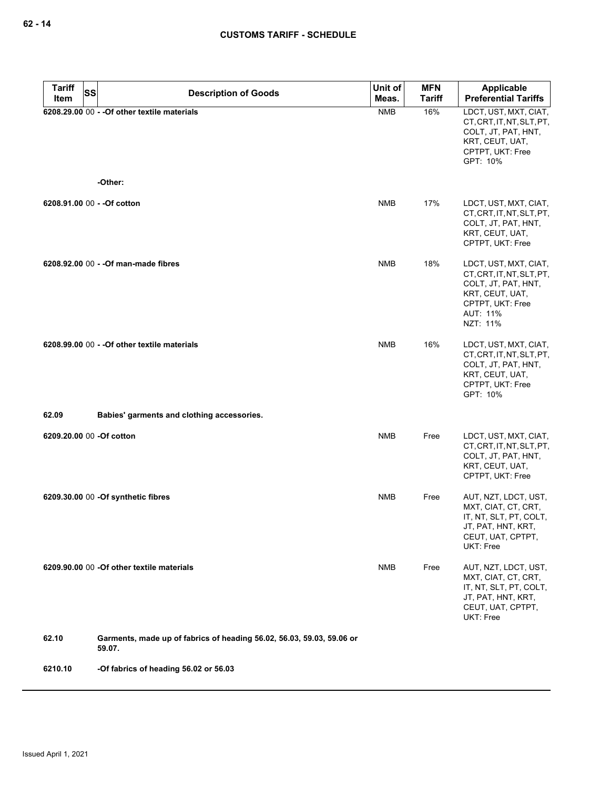| <b>Tariff</b><br>SS      | <b>Description of Goods</b>                                                     | Unit of    | <b>MFN</b>    | <b>Applicable</b>                                                                                                                        |
|--------------------------|---------------------------------------------------------------------------------|------------|---------------|------------------------------------------------------------------------------------------------------------------------------------------|
| Item                     |                                                                                 | Meas.      | <b>Tariff</b> | <b>Preferential Tariffs</b>                                                                                                              |
|                          | 6208.29.00 00 - - Of other textile materials<br>-Other:                         | <b>NMB</b> | 16%           | LDCT, UST, MXT, CIAT,<br>CT, CRT, IT, NT, SLT, PT,<br>COLT, JT, PAT, HNT,<br>KRT, CEUT, UAT,<br>CPTPT, UKT: Free<br>GPT: 10%             |
|                          |                                                                                 |            |               |                                                                                                                                          |
|                          | 6208.91.00 00 - - Of cotton                                                     | <b>NMB</b> | 17%           | LDCT, UST, MXT, CIAT,<br>CT, CRT, IT, NT, SLT, PT,<br>COLT, JT, PAT, HNT,<br>KRT, CEUT, UAT,<br>CPTPT, UKT: Free                         |
|                          | 6208.92.00 00 - - Of man-made fibres                                            | <b>NMB</b> | 18%           | LDCT, UST, MXT, CIAT,<br>CT, CRT, IT, NT, SLT, PT,<br>COLT, JT, PAT, HNT,<br>KRT, CEUT, UAT,<br>CPTPT, UKT: Free<br>AUT: 11%<br>NZT: 11% |
|                          | 6208.99.00 00 - - Of other textile materials                                    | <b>NMB</b> | 16%           | LDCT, UST, MXT, CIAT,<br>CT, CRT, IT, NT, SLT, PT,<br>COLT, JT, PAT, HNT,<br>KRT, CEUT, UAT,<br>CPTPT, UKT: Free<br>GPT: 10%             |
| 62.09                    | Babies' garments and clothing accessories.                                      |            |               |                                                                                                                                          |
| 6209.20.00 00 -Of cotton |                                                                                 | <b>NMB</b> | Free          | LDCT, UST, MXT, CIAT,<br>CT, CRT, IT, NT, SLT, PT,<br>COLT, JT, PAT, HNT,<br>KRT, CEUT, UAT,<br>CPTPT, UKT: Free                         |
|                          | 6209.30.00 00 -Of synthetic fibres                                              | <b>NMB</b> | Free          | AUT, NZT, LDCT, UST,<br>MXT, CIAT, CT, CRT,<br>IT, NT, SLT, PT, COLT,<br>JT, PAT, HNT, KRT,<br>CEUT, UAT, CPTPT,<br>UKT: Free            |
|                          | 6209.90.00 00 -Of other textile materials                                       | <b>NMB</b> | Free          | AUT, NZT, LDCT, UST,<br>MXT, CIAT, CT, CRT,<br>IT, NT, SLT, PT, COLT,<br>JT, PAT, HNT, KRT,<br>CEUT, UAT, CPTPT,<br>UKT: Free            |
| 62.10                    | Garments, made up of fabrics of heading 56.02, 56.03, 59.03, 59.06 or<br>59.07. |            |               |                                                                                                                                          |
| 6210.10                  | -Of fabrics of heading 56.02 or 56.03                                           |            |               |                                                                                                                                          |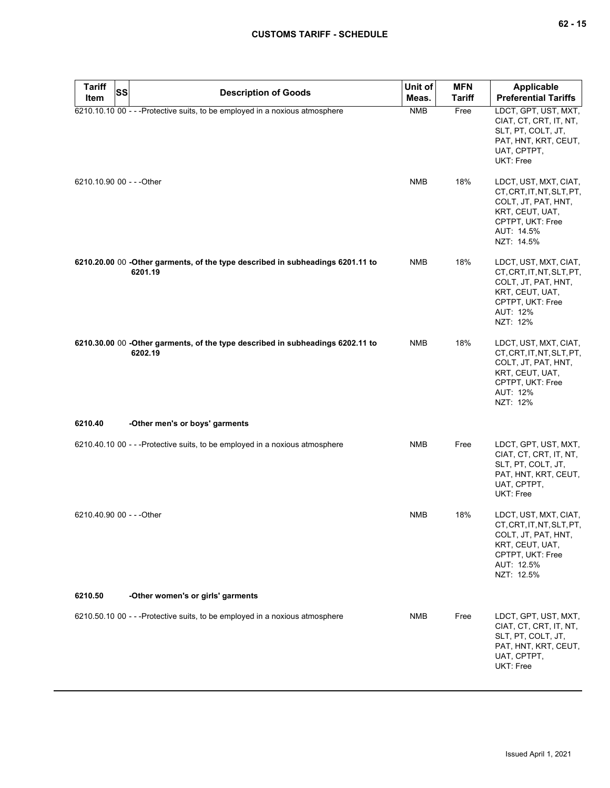| <b>Tariff</b><br>Item     | SS | <b>Description of Goods</b>                                                               | Unit of<br>Meas. | <b>MFN</b><br><b>Tariff</b> | <b>Applicable</b><br><b>Preferential Tariffs</b>                                                                                             |
|---------------------------|----|-------------------------------------------------------------------------------------------|------------------|-----------------------------|----------------------------------------------------------------------------------------------------------------------------------------------|
|                           |    | 6210.10.10 00 - - - Protective suits, to be employed in a noxious atmosphere              | <b>NMB</b>       | Free                        | LDCT, GPT, UST, MXT,<br>CIAT, CT, CRT, IT, NT,<br>SLT, PT, COLT, JT,<br>PAT, HNT, KRT, CEUT,<br>UAT, CPTPT,<br>UKT: Free                     |
| 6210.10.90 00 - - - Other |    |                                                                                           | <b>NMB</b>       | 18%                         | LDCT, UST, MXT, CIAT,<br>CT, CRT, IT, NT, SLT, PT,<br>COLT, JT, PAT, HNT,<br>KRT, CEUT, UAT,<br>CPTPT, UKT: Free<br>AUT: 14.5%<br>NZT: 14.5% |
|                           |    | 6210.20.00 00 -Other garments, of the type described in subheadings 6201.11 to<br>6201.19 | <b>NMB</b>       | 18%                         | LDCT, UST, MXT, CIAT,<br>CT, CRT, IT, NT, SLT, PT,<br>COLT, JT, PAT, HNT,<br>KRT, CEUT, UAT,<br>CPTPT, UKT: Free<br>AUT: 12%<br>NZT: 12%     |
|                           |    | 6210.30.00 00 -Other garments, of the type described in subheadings 6202.11 to<br>6202.19 | <b>NMB</b>       | 18%                         | LDCT, UST, MXT, CIAT,<br>CT, CRT, IT, NT, SLT, PT,<br>COLT, JT, PAT, HNT,<br>KRT, CEUT, UAT,<br>CPTPT, UKT: Free<br>AUT: 12%<br>NZT: 12%     |
| 6210.40                   |    | -Other men's or boys' garments                                                            |                  |                             |                                                                                                                                              |
|                           |    | 6210.40.10 00 - - - Protective suits, to be employed in a noxious atmosphere              | <b>NMB</b>       | Free                        | LDCT, GPT, UST, MXT,<br>CIAT, CT, CRT, IT, NT,<br>SLT, PT, COLT, JT,<br>PAT, HNT, KRT, CEUT,<br>UAT, CPTPT,<br>UKT: Free                     |
| 6210.40.90 00 - - - Other |    |                                                                                           | <b>NMB</b>       | 18%                         | LDCT, UST, MXT, CIAT,<br>CT, CRT, IT, NT, SLT, PT,<br>COLT, JT, PAT, HNT,<br>KRT, CEUT, UAT,<br>CPTPT, UKT: Free<br>AUT: 12.5%<br>NZT: 12.5% |
| 6210.50                   |    | -Other women's or girls' garments                                                         |                  |                             |                                                                                                                                              |
|                           |    | 6210.50.10 00 - - - Protective suits, to be employed in a noxious atmosphere              | <b>NMB</b>       | Free                        | LDCT, GPT, UST, MXT,<br>CIAT, CT, CRT, IT, NT,<br>SLT, PT, COLT, JT,<br>PAT, HNT, KRT, CEUT,<br>UAT, CPTPT,<br>UKT: Free                     |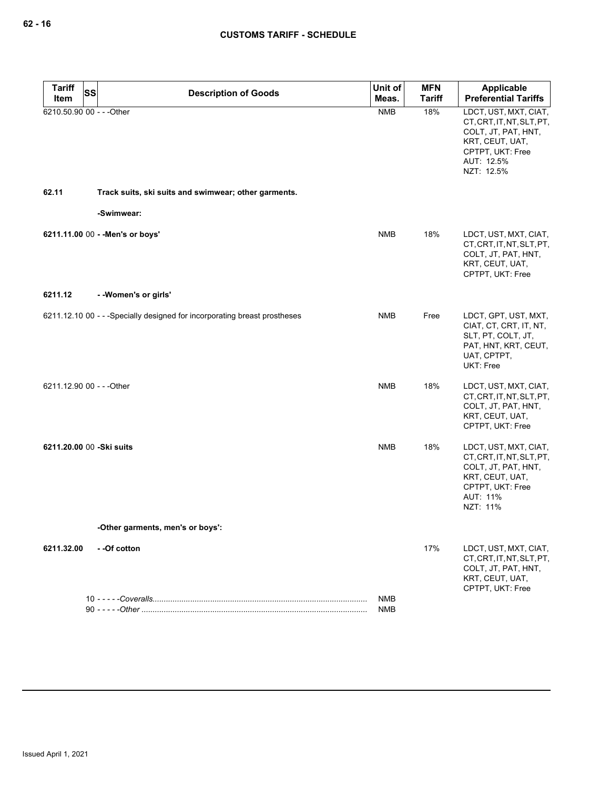| <b>Tariff</b>             | SS | <b>Description of Goods</b>                                                | Unit of    | <b>MFN</b>    | Applicable                                                                                                                                   |
|---------------------------|----|----------------------------------------------------------------------------|------------|---------------|----------------------------------------------------------------------------------------------------------------------------------------------|
| Item                      |    |                                                                            | Meas.      | <b>Tariff</b> | <b>Preferential Tariffs</b>                                                                                                                  |
| 6210.50.90 00 - - - Other |    |                                                                            | <b>NMB</b> | 18%           | LDCT, UST, MXT, CIAT,<br>CT, CRT, IT, NT, SLT, PT,<br>COLT, JT, PAT, HNT,<br>KRT, CEUT, UAT,<br>CPTPT, UKT: Free<br>AUT: 12.5%<br>NZT: 12.5% |
| 62.11                     |    | Track suits, ski suits and swimwear; other garments.                       |            |               |                                                                                                                                              |
|                           |    | -Swimwear:                                                                 |            |               |                                                                                                                                              |
|                           |    | 6211.11.00 00 - - Men's or boys'                                           | <b>NMB</b> | 18%           | LDCT, UST, MXT, CIAT,<br>CT, CRT, IT, NT, SLT, PT,<br>COLT, JT, PAT, HNT,<br>KRT, CEUT, UAT,<br>CPTPT, UKT: Free                             |
| 6211.12                   |    | - - Women's or girls'                                                      |            |               |                                                                                                                                              |
|                           |    | 6211.12.10 00 - - - Specially designed for incorporating breast prostheses | <b>NMB</b> | Free          | LDCT, GPT, UST, MXT,<br>CIAT, CT, CRT, IT, NT,<br>SLT, PT, COLT, JT,<br>PAT, HNT, KRT, CEUT,<br>UAT, CPTPT,<br>UKT: Free                     |
| 6211.12.90 00 - - - Other |    |                                                                            | <b>NMB</b> | 18%           | LDCT, UST, MXT, CIAT,<br>CT, CRT, IT, NT, SLT, PT,<br>COLT, JT, PAT, HNT,<br>KRT, CEUT, UAT,<br>CPTPT, UKT: Free                             |
| 6211.20.00 00 -Ski suits  |    |                                                                            | <b>NMB</b> | 18%           | LDCT, UST, MXT, CIAT,<br>CT, CRT, IT, NT, SLT, PT,<br>COLT, JT, PAT, HNT,<br>KRT, CEUT, UAT,<br>CPTPT, UKT: Free<br>AUT: 11%<br>NZT: 11%     |
|                           |    | -Other garments, men's or boys':                                           |            |               |                                                                                                                                              |
| 6211.32.00                |    | - -Of cotton                                                               |            | 17%           | LDCT, UST, MXT, CIAT,<br>CT, CRT, IT, NT, SLT, PT,<br>COLT, JT, PAT, HNT,<br>KRT, CEUT, UAT,<br>CPTPT, UKT: Free                             |
|                           |    |                                                                            | NMB        |               |                                                                                                                                              |
|                           |    |                                                                            | <b>NMB</b> |               |                                                                                                                                              |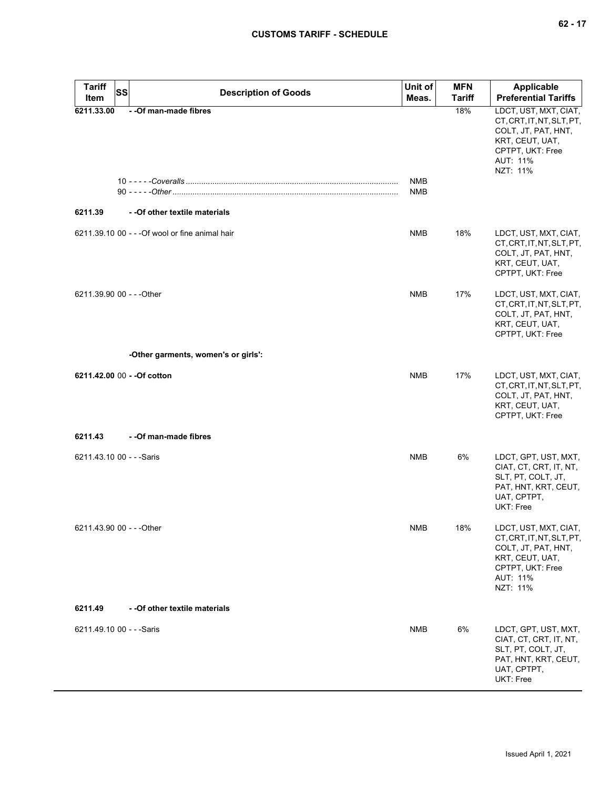| <b>Tariff</b><br>Item     | <b>SS</b><br><b>Description of Goods</b>        | Unit of<br>Meas. | <b>MFN</b><br><b>Tariff</b> | <b>Applicable</b><br><b>Preferential Tariffs</b>                                                                                         |
|---------------------------|-------------------------------------------------|------------------|-----------------------------|------------------------------------------------------------------------------------------------------------------------------------------|
| 6211.33.00                | - - Of man-made fibres                          | <b>NMB</b>       | 18%                         | LDCT, UST, MXT, CIAT,<br>CT, CRT, IT, NT, SLT, PT,<br>COLT, JT, PAT, HNT,<br>KRT, CEUT, UAT,<br>CPTPT, UKT: Free<br>AUT: 11%<br>NZT: 11% |
|                           |                                                 | <b>NMB</b>       |                             |                                                                                                                                          |
| 6211.39                   | - - Of other textile materials                  |                  |                             |                                                                                                                                          |
|                           | 6211.39.10 00 - - - Of wool or fine animal hair | <b>NMB</b>       | 18%                         | LDCT, UST, MXT, CIAT,<br>CT, CRT, IT, NT, SLT, PT,<br>COLT, JT, PAT, HNT,<br>KRT, CEUT, UAT,<br>CPTPT, UKT: Free                         |
| 6211.39.90 00 - - - Other |                                                 | <b>NMB</b>       | 17%                         | LDCT, UST, MXT, CIAT,<br>CT, CRT, IT, NT, SLT, PT,<br>COLT, JT, PAT, HNT,<br>KRT, CEUT, UAT,<br>CPTPT, UKT: Free                         |
|                           | -Other garments, women's or girls':             |                  |                             |                                                                                                                                          |
|                           | 6211.42.00 00 - - Of cotton                     | <b>NMB</b>       | 17%                         | LDCT, UST, MXT, CIAT,<br>CT, CRT, IT, NT, SLT, PT,<br>COLT, JT, PAT, HNT,<br>KRT, CEUT, UAT,<br>CPTPT, UKT: Free                         |
| 6211.43                   | - - Of man-made fibres                          |                  |                             |                                                                                                                                          |
| 6211.43.10 00 - - - Saris |                                                 | <b>NMB</b>       | 6%                          | LDCT, GPT, UST, MXT,<br>CIAT, CT, CRT, IT, NT,<br>SLT, PT, COLT, JT,<br>PAT, HNT, KRT, CEUT,<br>UAT, CPTPT,<br><b>UKT: Free</b>          |
| 6211.43.90 00 - - - Other |                                                 | NMB              | 18%                         | LDCT, UST, MXT, CIAT,<br>CT, CRT, IT, NT, SLT, PT,<br>COLT, JT, PAT, HNT,<br>KRT, CEUT, UAT,<br>CPTPT, UKT: Free<br>AUT: 11%<br>NZT: 11% |
| 6211.49                   | - - Of other textile materials                  |                  |                             |                                                                                                                                          |
| 6211.49.10 00 - - - Saris |                                                 | NMB              | 6%                          | LDCT, GPT, UST, MXT,<br>CIAT, CT, CRT, IT, NT,<br>SLT, PT, COLT, JT,<br>PAT, HNT, KRT, CEUT,<br>UAT, CPTPT,<br>UKT: Free                 |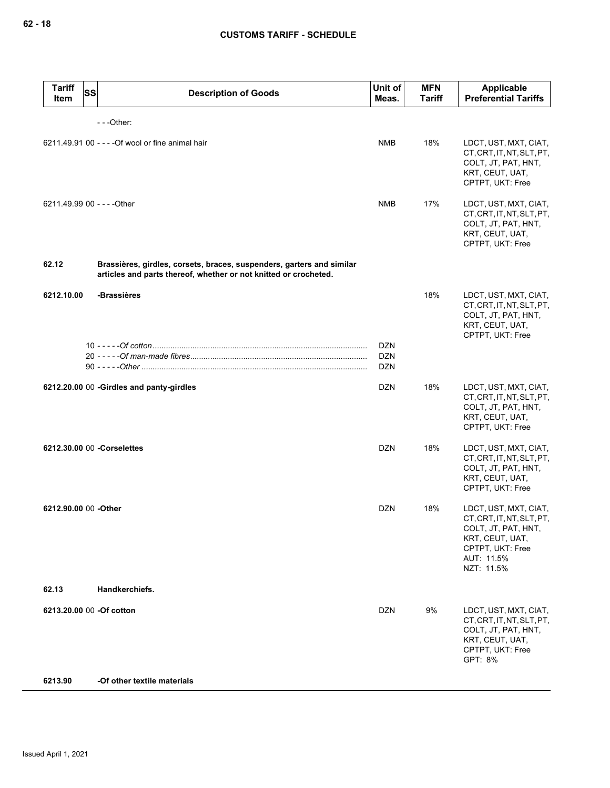| <b>Tariff</b><br>Item       | <b>SS</b> | <b>Description of Goods</b>                                                                                                               | Unit of<br>Meas.                       | <b>MFN</b><br>Tariff | <b>Applicable</b><br><b>Preferential Tariffs</b>                                                                                             |
|-----------------------------|-----------|-------------------------------------------------------------------------------------------------------------------------------------------|----------------------------------------|----------------------|----------------------------------------------------------------------------------------------------------------------------------------------|
|                             |           | $--$ Other:                                                                                                                               |                                        |                      |                                                                                                                                              |
|                             |           | 6211.49.91 00 - - - - Of wool or fine animal hair                                                                                         | <b>NMB</b>                             | 18%                  | LDCT, UST, MXT, CIAT,<br>CT, CRT, IT, NT, SLT, PT,<br>COLT, JT, PAT, HNT,<br>KRT, CEUT, UAT,<br>CPTPT, UKT: Free                             |
| 6211.49.99 00 - - - - Other |           |                                                                                                                                           | <b>NMB</b>                             | 17%                  | LDCT, UST, MXT, CIAT,<br>CT, CRT, IT, NT, SLT, PT,<br>COLT, JT, PAT, HNT,<br>KRT, CEUT, UAT,<br>CPTPT, UKT: Free                             |
| 62.12                       |           | Brassières, girdles, corsets, braces, suspenders, garters and similar<br>articles and parts thereof, whether or not knitted or crocheted. |                                        |                      |                                                                                                                                              |
| 6212.10.00                  |           | -Brassières                                                                                                                               |                                        | 18%                  | LDCT, UST, MXT, CIAT,<br>CT, CRT, IT, NT, SLT, PT,<br>COLT, JT, PAT, HNT,<br>KRT, CEUT, UAT,<br>CPTPT, UKT: Free                             |
|                             |           |                                                                                                                                           | <b>DZN</b><br><b>DZN</b><br><b>DZN</b> |                      |                                                                                                                                              |
|                             |           | 6212.20.00 00 -Girdles and panty-girdles                                                                                                  | <b>DZN</b>                             | 18%                  | LDCT, UST, MXT, CIAT,<br>CT, CRT, IT, NT, SLT, PT,<br>COLT, JT, PAT, HNT,<br>KRT, CEUT, UAT,<br>CPTPT, UKT: Free                             |
| 6212.30.00 00 - Corselettes |           |                                                                                                                                           | <b>DZN</b>                             | 18%                  | LDCT, UST, MXT, CIAT,<br>CT, CRT, IT, NT, SLT, PT,<br>COLT, JT, PAT, HNT,<br>KRT, CEUT, UAT,<br>CPTPT, UKT: Free                             |
| 6212.90.00 00 -Other        |           |                                                                                                                                           | <b>DZN</b>                             | 18%                  | LDCT, UST, MXT, CIAT,<br>CT, CRT, IT, NT, SLT, PT,<br>COLT, JT, PAT, HNT,<br>KRT, CEUT, UAT,<br>CPTPT, UKT: Free<br>AUT: 11.5%<br>NZT: 11.5% |
| 62.13                       |           | Handkerchiefs.                                                                                                                            |                                        |                      |                                                                                                                                              |
| 6213.20.00 00 - Of cotton   |           |                                                                                                                                           | DZN                                    | 9%                   | LDCT, UST, MXT, CIAT,<br>CT, CRT, IT, NT, SLT, PT,<br>COLT, JT, PAT, HNT,<br>KRT, CEUT, UAT,<br>CPTPT, UKT: Free<br>GPT: 8%                  |
| 6213.90                     |           | -Of other textile materials                                                                                                               |                                        |                      |                                                                                                                                              |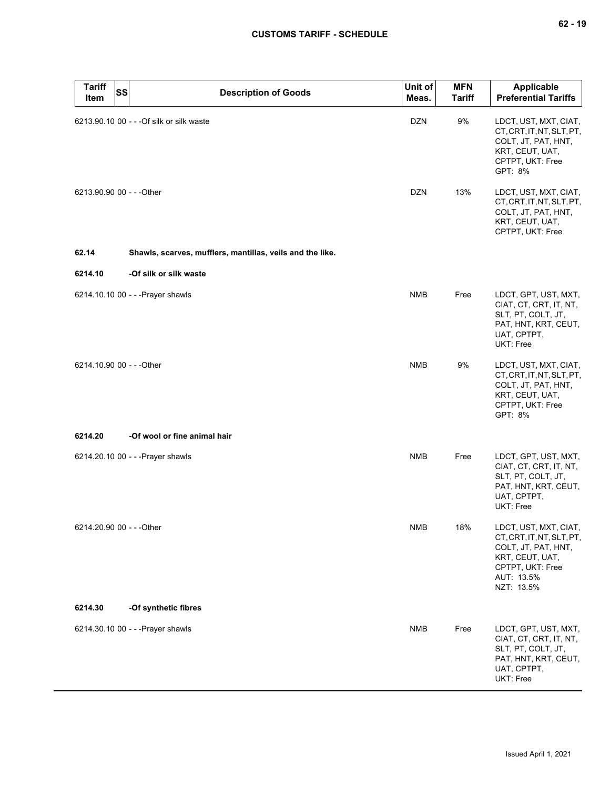| <b>Tariff</b><br>Item     | <b>SS</b> | <b>Description of Goods</b>                               | Unit of<br>Meas. | <b>MFN</b><br><b>Tariff</b> | Applicable<br><b>Preferential Tariffs</b>                                                                                                    |
|---------------------------|-----------|-----------------------------------------------------------|------------------|-----------------------------|----------------------------------------------------------------------------------------------------------------------------------------------|
|                           |           | 6213.90.10 00 - - - Of silk or silk waste                 | <b>DZN</b>       | 9%                          | LDCT, UST, MXT, CIAT,<br>CT, CRT, IT, NT, SLT, PT,<br>COLT, JT, PAT, HNT,<br>KRT, CEUT, UAT,<br>CPTPT, UKT: Free<br>GPT: 8%                  |
| 6213.90.90 00 - - - Other |           |                                                           | <b>DZN</b>       | 13%                         | LDCT, UST, MXT, CIAT,<br>CT, CRT, IT, NT, SLT, PT,<br>COLT, JT, PAT, HNT,<br>KRT, CEUT, UAT,<br>CPTPT, UKT: Free                             |
| 62.14                     |           | Shawls, scarves, mufflers, mantillas, veils and the like. |                  |                             |                                                                                                                                              |
| 6214.10                   |           | -Of silk or silk waste                                    |                  |                             |                                                                                                                                              |
|                           |           | 6214.10.10 00 - - - Prayer shawls                         | <b>NMB</b>       | Free                        | LDCT, GPT, UST, MXT,<br>CIAT, CT, CRT, IT, NT,<br>SLT, PT, COLT, JT,<br>PAT, HNT, KRT, CEUT,<br>UAT, CPTPT,<br>UKT: Free                     |
| 6214.10.90 00 - - - Other |           |                                                           | <b>NMB</b>       | 9%                          | LDCT, UST, MXT, CIAT,<br>CT, CRT, IT, NT, SLT, PT,<br>COLT, JT, PAT, HNT,<br>KRT, CEUT, UAT,<br>CPTPT, UKT: Free<br>GPT: 8%                  |
| 6214.20                   |           | -Of wool or fine animal hair                              |                  |                             |                                                                                                                                              |
|                           |           | 6214.20.10 00 - - - Prayer shawls                         | <b>NMB</b>       | Free                        | LDCT, GPT, UST, MXT,<br>CIAT, CT, CRT, IT, NT,<br>SLT, PT, COLT, JT,<br>PAT, HNT, KRT, CEUT,<br>UAT, CPTPT,<br>UKT: Free                     |
| 6214.20.90 00 - - - Other |           |                                                           | <b>NMB</b>       | 18%                         | LDCT, UST, MXT, CIAT,<br>CT, CRT, IT, NT, SLT, PT,<br>COLT, JT, PAT, HNT,<br>KRT, CEUT, UAT,<br>CPTPT, UKT: Free<br>AUT: 13.5%<br>NZT: 13.5% |
| 6214.30                   |           | -Of synthetic fibres                                      |                  |                             |                                                                                                                                              |
|                           |           | 6214.30.10 00 - - - Prayer shawls                         | <b>NMB</b>       | Free                        | LDCT, GPT, UST, MXT,<br>CIAT, CT, CRT, IT, NT,<br>SLT, PT, COLT, JT,<br>PAT, HNT, KRT, CEUT,<br>UAT, CPTPT,<br>UKT: Free                     |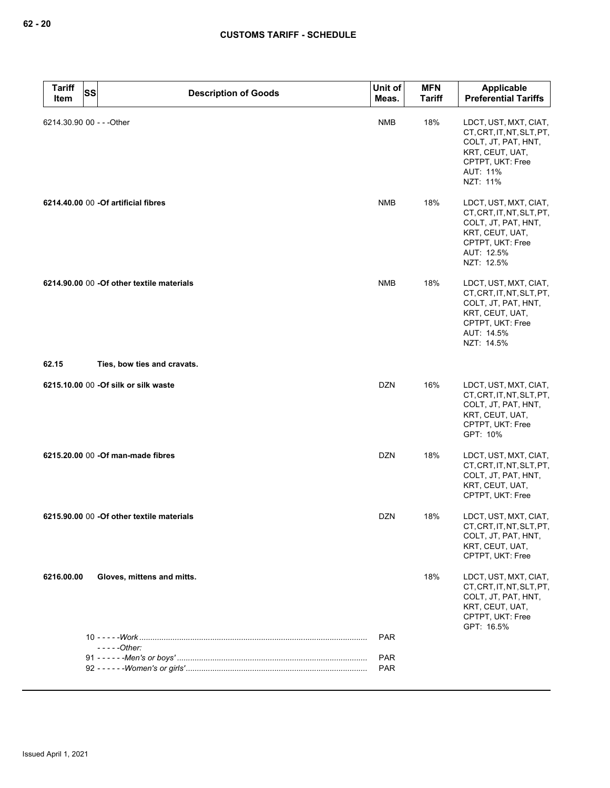| <b>Tariff</b><br><b>SS</b><br>Item | <b>Description of Goods</b>                | Unit of<br>Meas. | <b>MFN</b><br><b>Tariff</b> | Applicable<br><b>Preferential Tariffs</b>                                                                                                    |
|------------------------------------|--------------------------------------------|------------------|-----------------------------|----------------------------------------------------------------------------------------------------------------------------------------------|
| 6214.30.90 00 - - - Other          |                                            | <b>NMB</b>       | 18%                         | LDCT, UST, MXT, CIAT,<br>CT, CRT, IT, NT, SLT, PT,<br>COLT, JT, PAT, HNT,<br>KRT, CEUT, UAT,<br>CPTPT, UKT: Free<br>AUT: 11%<br>NZT: 11%     |
|                                    | 6214.40.00 00 - Of artificial fibres       | <b>NMB</b>       | 18%                         | LDCT, UST, MXT, CIAT,<br>CT.CRT.IT.NT.SLT.PT.<br>COLT, JT, PAT, HNT,<br>KRT, CEUT, UAT,<br>CPTPT, UKT: Free<br>AUT: 12.5%<br>NZT: 12.5%      |
|                                    | 6214.90.00 00 - Of other textile materials | <b>NMB</b>       | 18%                         | LDCT, UST, MXT, CIAT,<br>CT, CRT, IT, NT, SLT, PT,<br>COLT, JT, PAT, HNT,<br>KRT, CEUT, UAT,<br>CPTPT, UKT: Free<br>AUT: 14.5%<br>NZT: 14.5% |
| 62.15                              | Ties, bow ties and cravats.                |                  |                             |                                                                                                                                              |
|                                    | 6215.10.00 00 - Of silk or silk waste      | <b>DZN</b>       | 16%                         | LDCT, UST, MXT, CIAT,<br>CT, CRT, IT, NT, SLT, PT,<br>COLT, JT, PAT, HNT,<br>KRT, CEUT, UAT,<br>CPTPT, UKT: Free<br>GPT: 10%                 |
|                                    | 6215.20.00 00 -Of man-made fibres          | <b>DZN</b>       | 18%                         | LDCT, UST, MXT, CIAT,<br>CT, CRT, IT, NT, SLT, PT,<br>COLT, JT, PAT, HNT,<br>KRT, CEUT, UAT,<br>CPTPT, UKT: Free                             |
|                                    | 6215.90.00 00 -Of other textile materials  | <b>DZN</b>       | 18%                         | LDCT, UST, MXT, CIAT,<br>CT.CRT.IT.NT.SLT.PT.<br>COLT, JT, PAT, HNT,<br>KRT, CEUT, UAT,<br>CPTPT, UKT: Free                                  |
| 6216.00.00                         | Gloves, mittens and mitts.                 |                  | 18%                         | LDCT, UST, MXT, CIAT,<br>CT, CRT, IT, NT, SLT, PT,<br>COLT, JT, PAT, HNT,<br>KRT, CEUT, UAT,<br>CPTPT, UKT: Free<br>GPT: 16.5%               |
|                                    | $--$ - $-$ Other:                          | <b>PAR</b>       |                             |                                                                                                                                              |
|                                    |                                            | <b>PAR</b>       |                             |                                                                                                                                              |
|                                    |                                            | <b>PAR</b>       |                             |                                                                                                                                              |